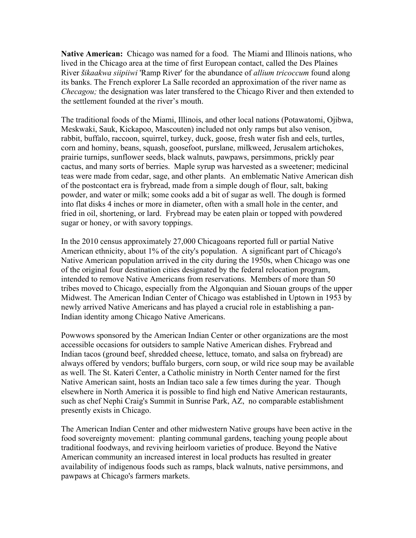**Native American:** Chicago was named for a food. The Miami and Illinois nations, who lived in the Chicago area at the time of first European contact, called the Des Plaines River *šikaakwa siipiiwi* 'Ramp River' for the abundance of *allium tricoccum* found along its banks. The French explorer La Salle recorded an approximation of the river name as *Checagou;* the designation was later transfered to the Chicago River and then extended to the settlement founded at the river's mouth.

The traditional foods of the Miami, Illinois, and other local nations (Potawatomi, Ojibwa, Meskwaki, Sauk, Kickapoo, Mascouten) included not only ramps but also venison, rabbit, buffalo, raccoon, squirrel, turkey, duck, goose, fresh water fish and eels, turtles, corn and hominy, beans, squash, goosefoot, purslane, milkweed, Jerusalem artichokes, prairie turnips, sunflower seeds, black walnuts, pawpaws, persimmons, prickly pear cactus, and many sorts of berries. Maple syrup was harvested as a sweetener; medicinal teas were made from cedar, sage, and other plants. An emblematic Native American dish of the postcontact era is frybread, made from a simple dough of flour, salt, baking powder, and water or milk; some cooks add a bit of sugar as well. The dough is formed into flat disks 4 inches or more in diameter, often with a small hole in the center, and fried in oil, shortening, or lard. Frybread may be eaten plain or topped with powdered sugar or honey, or with savory toppings.

In the 2010 census approximately 27,000 Chicagoans reported full or partial Native American ethnicity, about 1% of the city's population. A significant part of Chicago's Native American population arrived in the city during the 1950s, when Chicago was one of the original four destination cities designated by the federal relocation program, intended to remove Native Americans from reservations. Members of more than 50 tribes moved to Chicago, especially from the Algonquian and Siouan groups of the upper Midwest. The American Indian Center of Chicago was established in Uptown in 1953 by newly arrived Native Americans and has played a crucial role in establishing a pan-Indian identity among Chicago Native Americans.

Powwows sponsored by the American Indian Center or other organizations are the most accessible occasions for outsiders to sample Native American dishes. Frybread and Indian tacos (ground beef, shredded cheese, lettuce, tomato, and salsa on frybread) are always offered by vendors; buffalo burgers, corn soup, or wild rice soup may be available as well. The St. Kateri Center, a Catholic ministry in North Center named for the first Native American saint, hosts an Indian taco sale a few times during the year. Though elsewhere in North America it is possible to find high end Native American restaurants, such as chef Nephi Craig's Summit in Sunrise Park, AZ, no comparable establishment presently exists in Chicago.

The American Indian Center and other midwestern Native groups have been active in the food sovereignty movement: planting communal gardens, teaching young people about traditional foodways, and reviving heirloom varieties of produce. Beyond the Native American community an increased interest in local products has resulted in greater availability of indigenous foods such as ramps, black walnuts, native persimmons, and pawpaws at Chicago's farmers markets.